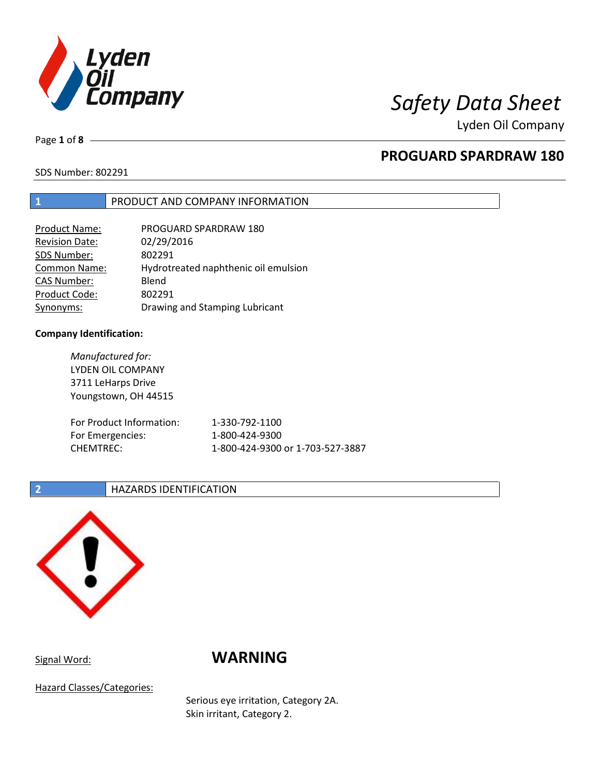

Lyden Oil Company

Page **1** of **8**

# **PROGUARD SPARDRAW 180**

SDS Number: 802291

# **1** PRODUCT AND COMPANY INFORMATION

| Product Name:         | PROGUARD SPARDRAW 180                |
|-----------------------|--------------------------------------|
| <b>Revision Date:</b> | 02/29/2016                           |
| SDS Number:           | 802291                               |
| Common Name:          | Hydrotreated naphthenic oil emulsion |
| <b>CAS Number:</b>    | Blend                                |
| Product Code:         | 802291                               |
| Synonyms:             | Drawing and Stamping Lubricant       |

### **Company Identification:**

*Manufactured for:* LYDEN OIL COMPANY 3711 LeHarps Drive Youngstown, OH 44515 For Product Information: 1-330-792-1100 For Emergencies: 1-800-424-9300 CHEMTREC: 1-800-424-9300 or 1-703-527-3887

# **2 HAZARDS IDENTIFICATION**



# Signal Word: **WARNING**

Hazard Classes/Categories:

Serious eye irritation, Category 2A. Skin irritant, Category 2.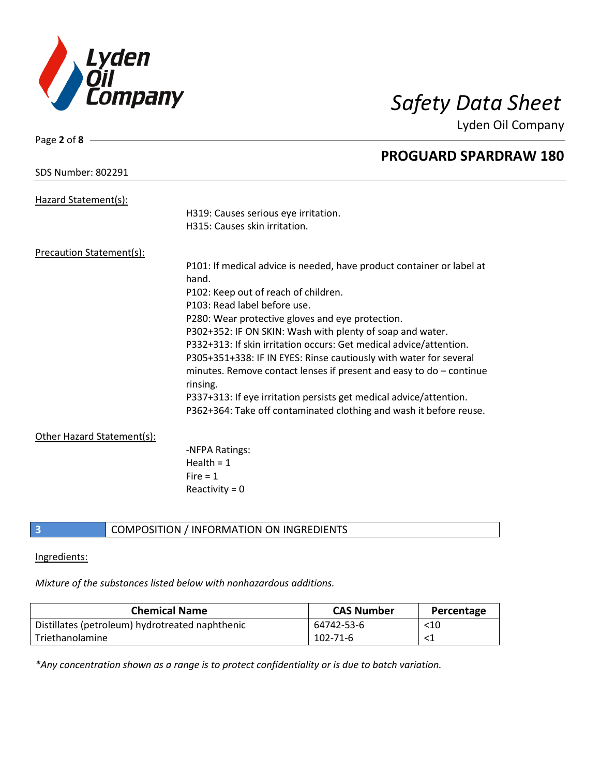

Lyden Oil Company

| Page 2 of $8 -$            |                                                                                   |
|----------------------------|-----------------------------------------------------------------------------------|
|                            | <b>PROGUARD SPARDRAW 180</b>                                                      |
| <b>SDS Number: 802291</b>  |                                                                                   |
| Hazard Statement(s):       |                                                                                   |
|                            | H319: Causes serious eye irritation.                                              |
|                            | H315: Causes skin irritation.                                                     |
| Precaution Statement(s):   |                                                                                   |
|                            | P101: If medical advice is needed, have product container or label at             |
|                            | hand.                                                                             |
|                            | P102: Keep out of reach of children.                                              |
|                            | P103: Read label before use.                                                      |
|                            | P280: Wear protective gloves and eye protection.                                  |
|                            | P302+352: IF ON SKIN: Wash with plenty of soap and water.                         |
|                            | P332+313: If skin irritation occurs: Get medical advice/attention.                |
|                            | P305+351+338: IF IN EYES: Rinse cautiously with water for several                 |
|                            | minutes. Remove contact lenses if present and easy to $do$ – continue<br>rinsing. |
|                            | P337+313: If eye irritation persists get medical advice/attention.                |
|                            | P362+364: Take off contaminated clothing and wash it before reuse.                |
| Other Hazard Statement(s): |                                                                                   |
|                            | -NFPA Ratings:                                                                    |
|                            | Health = $1$                                                                      |
|                            | Fire $= 1$                                                                        |
|                            | Reactivity = $0$                                                                  |
|                            |                                                                                   |

# **3** COMPOSITION / INFORMATION ON INGREDIENTS

# Ingredients:

*Mixture of the substances listed below with nonhazardous additions.*

| <b>Chemical Name</b>                            | <b>CAS Number</b> | Percentage |
|-------------------------------------------------|-------------------|------------|
| Distillates (petroleum) hydrotreated naphthenic | 64742-53-6        | $<$ 10     |
| Triethanolamine                                 | 102-71-6          |            |

*\*Any concentration shown as a range is to protect confidentiality or is due to batch variation.*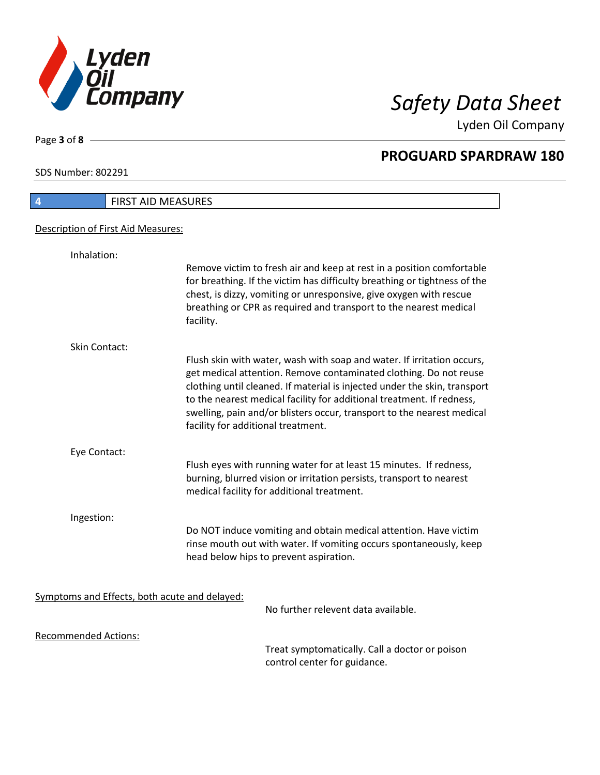

Lyden Oil Company

SDS Number: 802291

Page **3** of **8**

| FIRST AID MEASURES<br>$\overline{4}$          |                                                                                                                                                                                                                                                                                                                                                                                                                   |
|-----------------------------------------------|-------------------------------------------------------------------------------------------------------------------------------------------------------------------------------------------------------------------------------------------------------------------------------------------------------------------------------------------------------------------------------------------------------------------|
| Description of First Aid Measures:            |                                                                                                                                                                                                                                                                                                                                                                                                                   |
| Inhalation:                                   |                                                                                                                                                                                                                                                                                                                                                                                                                   |
|                                               | Remove victim to fresh air and keep at rest in a position comfortable<br>for breathing. If the victim has difficulty breathing or tightness of the<br>chest, is dizzy, vomiting or unresponsive, give oxygen with rescue<br>breathing or CPR as required and transport to the nearest medical<br>facility.                                                                                                        |
| Skin Contact:                                 |                                                                                                                                                                                                                                                                                                                                                                                                                   |
|                                               | Flush skin with water, wash with soap and water. If irritation occurs,<br>get medical attention. Remove contaminated clothing. Do not reuse<br>clothing until cleaned. If material is injected under the skin, transport<br>to the nearest medical facility for additional treatment. If redness,<br>swelling, pain and/or blisters occur, transport to the nearest medical<br>facility for additional treatment. |
| Eye Contact:                                  |                                                                                                                                                                                                                                                                                                                                                                                                                   |
|                                               | Flush eyes with running water for at least 15 minutes. If redness,<br>burning, blurred vision or irritation persists, transport to nearest<br>medical facility for additional treatment.                                                                                                                                                                                                                          |
| Ingestion:                                    |                                                                                                                                                                                                                                                                                                                                                                                                                   |
|                                               | Do NOT induce vomiting and obtain medical attention. Have victim<br>rinse mouth out with water. If vomiting occurs spontaneously, keep<br>head below hips to prevent aspiration.                                                                                                                                                                                                                                  |
| Symptoms and Effects, both acute and delayed: | No further relevent data available.                                                                                                                                                                                                                                                                                                                                                                               |
| <b>Recommended Actions:</b>                   |                                                                                                                                                                                                                                                                                                                                                                                                                   |
|                                               | Treat symptomatically. Call a doctor or poison                                                                                                                                                                                                                                                                                                                                                                    |

control center for guidance.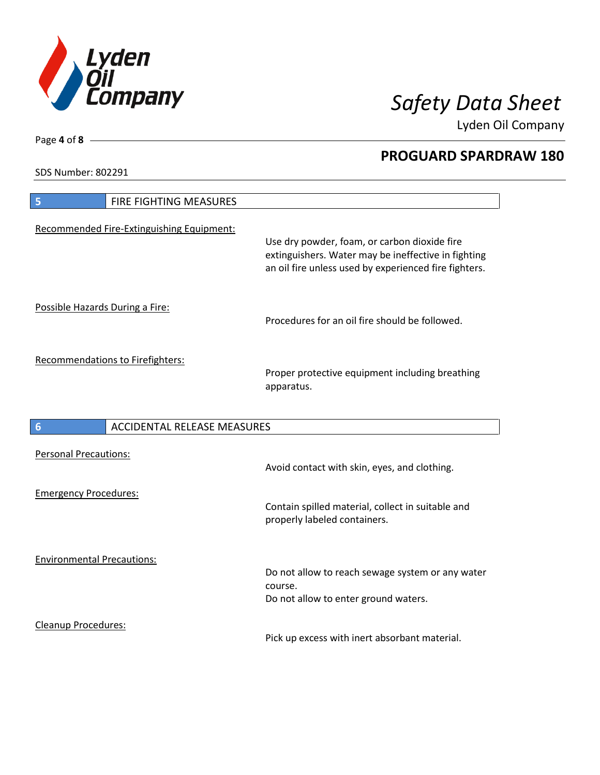

Lyden Oil Company

SDS Number: 802291

Page **4** of **8**

| FIRE FIGHTING MEASURES<br>5                           |                                                                                                                                                              |
|-------------------------------------------------------|--------------------------------------------------------------------------------------------------------------------------------------------------------------|
| Recommended Fire-Extinguishing Equipment:             | Use dry powder, foam, or carbon dioxide fire<br>extinguishers. Water may be ineffective in fighting<br>an oil fire unless used by experienced fire fighters. |
| Possible Hazards During a Fire:                       | Procedures for an oil fire should be followed.                                                                                                               |
| <b>Recommendations to Firefighters:</b>               | Proper protective equipment including breathing<br>apparatus.                                                                                                |
| <b>ACCIDENTAL RELEASE MEASURES</b><br>$6\phantom{1}6$ |                                                                                                                                                              |
|                                                       |                                                                                                                                                              |
| <b>Personal Precautions:</b>                          | Avoid contact with skin, eyes, and clothing.                                                                                                                 |
| <b>Emergency Procedures:</b>                          | Contain spilled material, collect in suitable and<br>properly labeled containers.                                                                            |
| <b>Environmental Precautions:</b>                     | Do not allow to reach sewage system or any water<br>course.<br>Do not allow to enter ground waters.                                                          |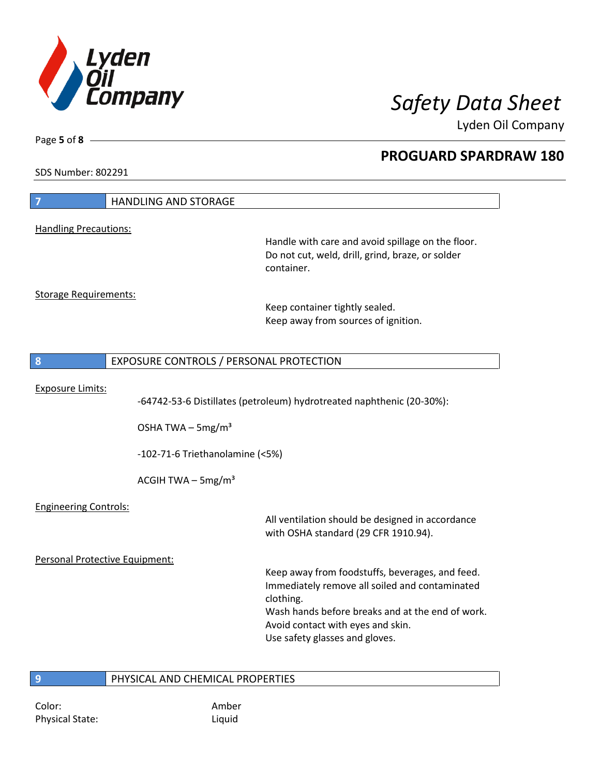

Lyden Oil Company

SDS Number: 802291

Page **5** of **8**

| $\overline{7}$                 | <b>HANDLING AND STORAGE</b>             |                                                                                                                                                                                                                                           |
|--------------------------------|-----------------------------------------|-------------------------------------------------------------------------------------------------------------------------------------------------------------------------------------------------------------------------------------------|
| <b>Handling Precautions:</b>   |                                         |                                                                                                                                                                                                                                           |
|                                |                                         | Handle with care and avoid spillage on the floor.<br>Do not cut, weld, drill, grind, braze, or solder<br>container.                                                                                                                       |
| <b>Storage Requirements:</b>   |                                         | Keep container tightly sealed.<br>Keep away from sources of ignition.                                                                                                                                                                     |
| 8                              | EXPOSURE CONTROLS / PERSONAL PROTECTION |                                                                                                                                                                                                                                           |
| <b>Exposure Limits:</b>        | OSHA TWA $-$ 5mg/m <sup>3</sup>         | -64742-53-6 Distillates (petroleum) hydrotreated naphthenic (20-30%):                                                                                                                                                                     |
|                                | -102-71-6 Triethanolamine (<5%)         |                                                                                                                                                                                                                                           |
|                                | ACGIH TWA $-$ 5mg/m <sup>3</sup>        |                                                                                                                                                                                                                                           |
| <b>Engineering Controls:</b>   |                                         | All ventilation should be designed in accordance<br>with OSHA standard (29 CFR 1910.94).                                                                                                                                                  |
| Personal Protective Equipment: |                                         |                                                                                                                                                                                                                                           |
|                                |                                         | Keep away from foodstuffs, beverages, and feed.<br>Immediately remove all soiled and contaminated<br>clothing.<br>Wash hands before breaks and at the end of work.<br>Avoid contact with eyes and skin.<br>Use safety glasses and gloves. |
| 9                              | PHYSICAL AND CHEMICAL PROPERTIES        |                                                                                                                                                                                                                                           |

Color: Amber Physical State: Liquid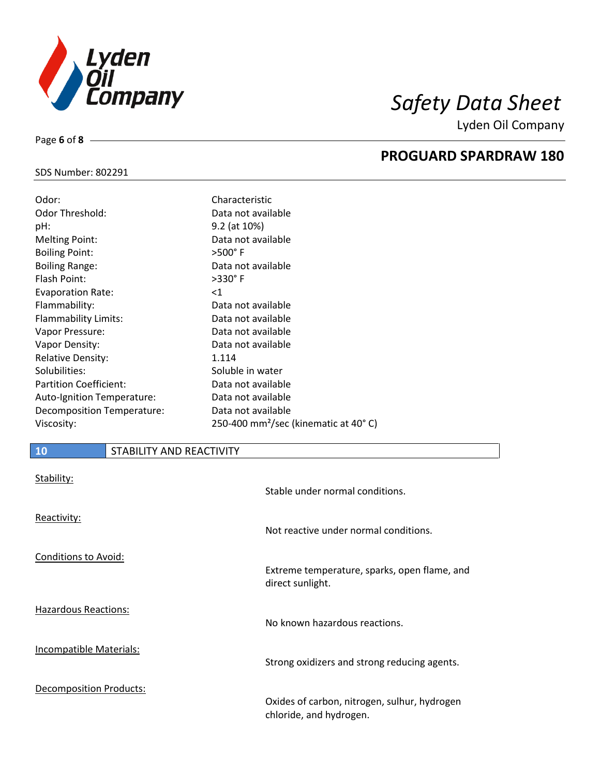

Lyden Oil Company

# SDS Number: 802291

Page **6** of **8**

| Odor:<br><b>Odor Threshold:</b> | Characteristic<br>Data not available                        |
|---------------------------------|-------------------------------------------------------------|
| pH:                             | 9.2 (at 10%)                                                |
| <b>Melting Point:</b>           | Data not available                                          |
| <b>Boiling Point:</b>           | $>500^\circ$ F                                              |
| <b>Boiling Range:</b>           | Data not available                                          |
| Flash Point:                    | $>330^\circ$ F                                              |
| <b>Evaporation Rate:</b>        | $<$ 1                                                       |
| Flammability:                   | Data not available                                          |
| Flammability Limits:            | Data not available                                          |
| Vapor Pressure:                 | Data not available                                          |
| Vapor Density:                  | Data not available                                          |
| <b>Relative Density:</b>        | 1.114                                                       |
| Solubilities:                   | Soluble in water                                            |
| <b>Partition Coefficient:</b>   | Data not available                                          |
| Auto-Ignition Temperature:      | Data not available                                          |
| Decomposition Temperature:      | Data not available                                          |
| Viscosity:                      | 250-400 mm <sup>2</sup> /sec (kinematic at 40 $^{\circ}$ C) |

# **10** STABILITY AND REACTIVITY

| Stability:                     | Stable under normal conditions.                                         |
|--------------------------------|-------------------------------------------------------------------------|
| Reactivity:                    | Not reactive under normal conditions.                                   |
| <b>Conditions to Avoid:</b>    | Extreme temperature, sparks, open flame, and<br>direct sunlight.        |
| <b>Hazardous Reactions:</b>    | No known hazardous reactions.                                           |
| <b>Incompatible Materials:</b> | Strong oxidizers and strong reducing agents.                            |
| <b>Decomposition Products:</b> | Oxides of carbon, nitrogen, sulhur, hydrogen<br>chloride, and hydrogen. |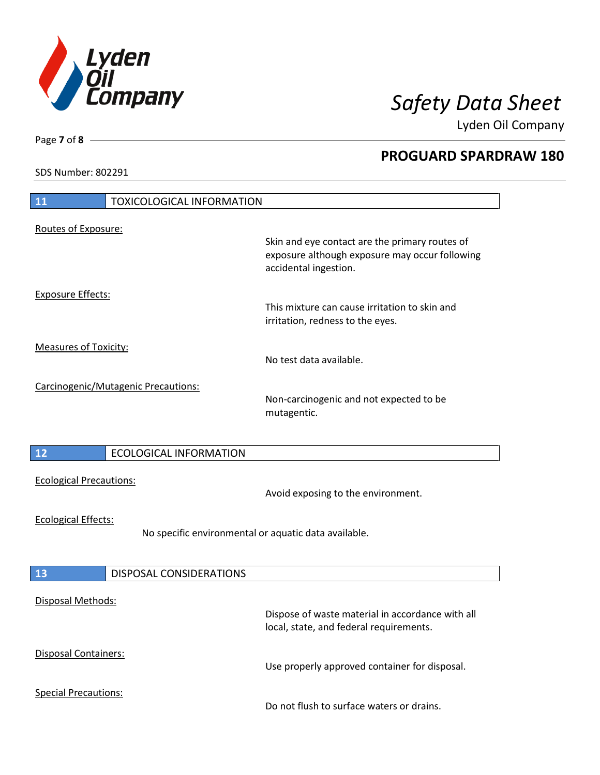

Lyden Oil Company

SDS Number: 802291

# **11** TOXICOLOGICAL INFORMATION Routes of Exposure: Skin and eye contact are the primary routes of exposure although exposure may occur following accidental ingestion. Exposure Effects: This mixture can cause irritation to skin and irritation, redness to the eyes. Measures of Toxicity: No test data available. Carcinogenic/Mutagenic Precautions: Non-carcinogenic and not expected to be mutagentic. **12** ECOLOGICAL INFORMATION Ecological Precautions: Avoid exposing to the environment. Ecological Effects: No specific environmental or aquatic data available. **13** DISPOSAL CONSIDERATIONS Disposal Methods: Dispose of waste material in accordance with all local, state, and federal requirements. Disposal Containers: Use properly approved container for disposal. Special Precautions: Do not flush to surface waters or drains.

Page **7** of **8**